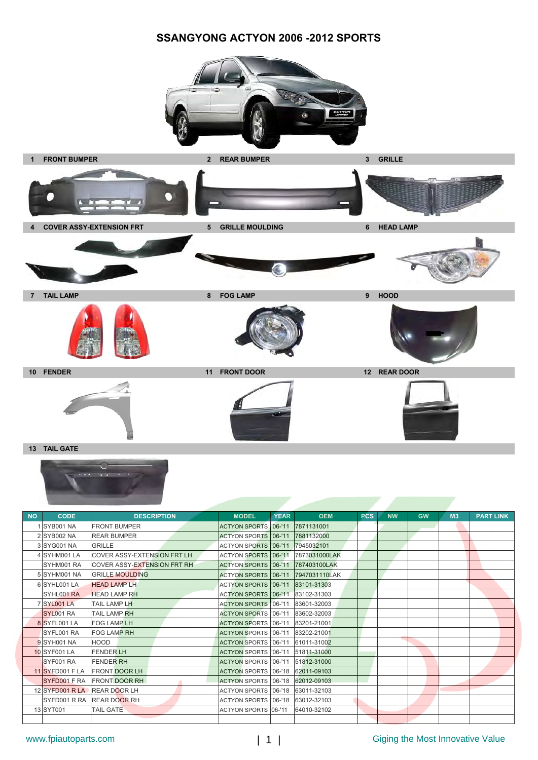## **SSANGYONG ACTYON 2006 -2012 SPORTS**





**13 TAIL GATE**



| <b>NO</b> | <b>CODE</b>                 | <b>DESCRIPTION</b>                 | <b>MODEL</b>                      | <b>YEAR</b> | <b>OEM</b>    | <b>PCS</b> | <b>NW</b> | <b>GW</b> | M <sub>3</sub> | <b>PART LINK</b> |
|-----------|-----------------------------|------------------------------------|-----------------------------------|-------------|---------------|------------|-----------|-----------|----------------|------------------|
|           | SYB001 NA                   | <b>FRONT BUMPER</b>                | <b>ACTYON SPORTS '06-'11</b>      |             | 7871131001    |            |           |           |                |                  |
|           | 2 SYB002 NA                 | <b>REAR BUMPER</b>                 | <b>ACTYON SPORTS '06-'11</b>      |             | 7881132000    |            |           |           |                |                  |
|           | 3 SYG001 NA                 | <b>GRILLE</b>                      | <b>ACTYON SPORTS '06-'11</b>      |             | 7945032101    |            |           |           |                |                  |
|           | 4 SYHM001 LA                | <b>COVER ASSY-EXTENSION FRT LH</b> | <b>ACTYON SPORTS '06-'11</b>      |             | 7873031000LAK |            |           |           |                |                  |
|           | SYHM001 RA                  | <b>COVER ASSY-EXTENSION FRT RH</b> | <b>ACTYON SPORTS '06-'11</b>      |             | 787403100LAK  |            |           |           |                |                  |
|           | 5 SYHM001 NA                | <b>GRILLE MOULDING</b>             | <b>ACTYON SPORTS '06-'11</b>      |             | 7947031110LAK |            |           |           |                |                  |
|           | 6 SYHL001 LA                | <b>HEAD LAMP LH</b>                | <b>ACTYON SPORTS '06-'11</b>      |             | 83101-31303   |            |           |           |                |                  |
|           | SYHL001 RA                  | <b>HEAD LAMP RH</b>                | <b>ACTYON SPORTS '06-'11</b>      |             | 83102-31303   |            |           |           |                |                  |
|           | <b>7 SYL001 LA</b>          | TAIL LAMP LH                       | <b>ACTYON SPORTS '06-'11</b>      |             | 83601-32003   |            |           |           |                |                  |
|           | SYL001 RA                   | <b>TAIL LAMP RH</b>                | <b>ACTYON SPORTS '06-'11</b>      |             | 83602-32003   |            |           |           |                |                  |
|           | 8 SYFL001 LA                | <b>FOG LAMP LH</b>                 | <b>ACTYON SPORTS '06-'11</b>      |             | 83201-21001   |            |           |           |                |                  |
|           | SYFL001 RA                  | <b>FOG LAMP RH</b>                 | <b>ACTYON SPORTS '06-'11</b>      |             | 83202-21001   |            |           |           |                |                  |
|           | 9 SYH001 NA                 | <b>HOOD</b>                        | ACTYON SPORTS '06-'11             |             | 61011-31002   |            |           |           |                |                  |
|           | 10 SYF001 LA                | <b>FENDER LH</b>                   | ACTYON SPORTS '06-'11             |             | 51811-31000   |            |           |           |                |                  |
|           | SYF001 RA                   | <b>FENDER RH</b>                   | <b>ACTYON SPORTS '06-'11</b>      |             | 51812-31000   |            |           |           |                |                  |
|           | 11 SYFD001 F LA             | <b>FRONT DOOR LH</b>               | ACTYON SPORTS '06-'18             |             | 62011-09103   |            |           |           |                |                  |
|           |                             | SYFD001 F RA FRONT DOOR RH         | <b>ACTYON SPORTS '06-'18</b>      |             | 62012-09103   |            |           |           |                |                  |
|           | 12 SYFD001 RLA REAR DOOR LH |                                    | ACTYON SPORTS '06-'18             |             | 63011-32103   |            |           |           |                |                  |
|           |                             | SYFD001 R RA REAR DOOR RH          | ACTYON SPORTS '06-'18 63012-32103 |             |               |            |           |           |                |                  |
|           | 13 SYT001                   | <b>TAIL GATE</b>                   | <b>ACTYON SPORTS 06-'11</b>       |             | 64010-32102   |            |           |           |                |                  |
|           |                             |                                    |                                   |             |               |            |           |           |                |                  |